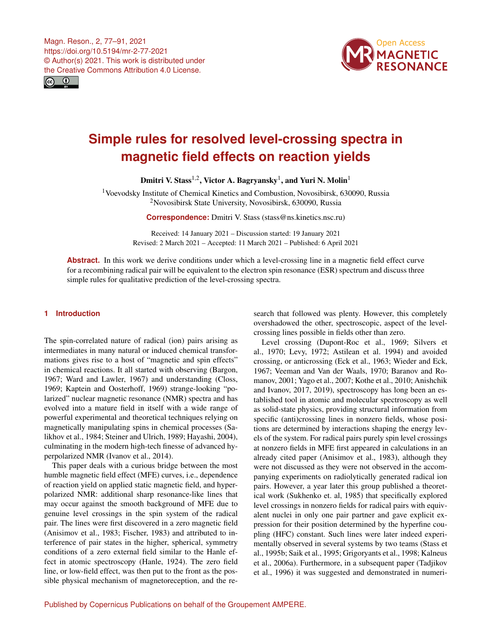Magn. Reson., 2, 77–91, 2021 https://doi.org/10.5194/mr-2-77-2021 © Author(s) 2021. This work is distributed under the Creative Commons Attribution 4.0 License.





# **Simple rules for resolved level-crossing spectra in magnetic field effects on reaction yields**

Dmitri V. Stass $^{1,2}$  $^{1,2}$  $^{1,2}$ , Victor A. Bagryansky $^{1}$  $^{1}$  $^{1}$ , and Yuri N. Molin $^{1}$ 

<sup>1</sup>Voevodsky Institute of Chemical Kinetics and Combustion, Novosibirsk, 630090, Russia <sup>2</sup>Novosibirsk State University, Novosibirsk, 630090, Russia

**Correspondence:** Dmitri V. Stass (stass@ns.kinetics.nsc.ru)

Received: 14 January 2021 – Discussion started: 19 January 2021 Revised: 2 March 2021 – Accepted: 11 March 2021 – Published: 6 April 2021

**Abstract.** In this work we derive conditions under which a level-crossing line in a magnetic field effect curve for a recombining radical pair will be equivalent to the electron spin resonance (ESR) spectrum and discuss three simple rules for qualitative prediction of the level-crossing spectra.

# <span id="page-0-0"></span>**1 Introduction**

The spin-correlated nature of radical (ion) pairs arising as intermediates in many natural or induced chemical transformations gives rise to a host of "magnetic and spin effects" in chemical reactions. It all started with observing (Bargon, 1967; Ward and Lawler, 1967) and understanding (Closs, 1969; Kaptein and Oosterhoff, 1969) strange-looking "polarized" nuclear magnetic resonance (NMR) spectra and has evolved into a mature field in itself with a wide range of powerful experimental and theoretical techniques relying on magnetically manipulating spins in chemical processes (Salikhov et al., 1984; Steiner and Ulrich, 1989; Hayashi, 2004), culminating in the modern high-tech finesse of advanced hyperpolarized NMR (Ivanov et al., 2014).

This paper deals with a curious bridge between the most humble magnetic field effect (MFE) curves, i.e., dependence of reaction yield on applied static magnetic field, and hyperpolarized NMR: additional sharp resonance-like lines that may occur against the smooth background of MFE due to genuine level crossings in the spin system of the radical pair. The lines were first discovered in a zero magnetic field (Anisimov et al., 1983; Fischer, 1983) and attributed to interference of pair states in the higher, spherical, symmetry conditions of a zero external field similar to the Hanle effect in atomic spectroscopy (Hanle, 1924). The zero field line, or low-field effect, was then put to the front as the possible physical mechanism of magnetoreception, and the research that followed was plenty. However, this completely overshadowed the other, spectroscopic, aspect of the levelcrossing lines possible in fields other than zero.

Level crossing (Dupont-Roc et al., 1969; Silvers et al., 1970; Levy, 1972; Astilean et al. 1994) and avoided crossing, or anticrossing (Eck et al., 1963; Wieder and Eck, 1967; Veeman and Van der Waals, 1970; Baranov and Romanov, 2001; Yago et al., 2007; Kothe et al., 2010; Anishchik and Ivanov, 2017, 2019), spectroscopy has long been an established tool in atomic and molecular spectroscopy as well as solid-state physics, providing structural information from specific (anti)crossing lines in nonzero fields, whose positions are determined by interactions shaping the energy levels of the system. For radical pairs purely spin level crossings at nonzero fields in MFE first appeared in calculations in an already cited paper (Anisimov et al., 1983), although they were not discussed as they were not observed in the accompanying experiments on radiolytically generated radical ion pairs. However, a year later this group published a theoretical work (Sukhenko et. al, 1985) that specifically explored level crossings in nonzero fields for radical pairs with equivalent nuclei in only one pair partner and gave explicit expression for their position determined by the hyperfine coupling (HFC) constant. Such lines were later indeed experimentally observed in several systems by two teams (Stass et al., 1995b; Saik et al., 1995; Grigoryants et al., 1998; Kalneus et al., 2006a). Furthermore, in a subsequent paper (Tadjikov et al., 1996) it was suggested and demonstrated in numeri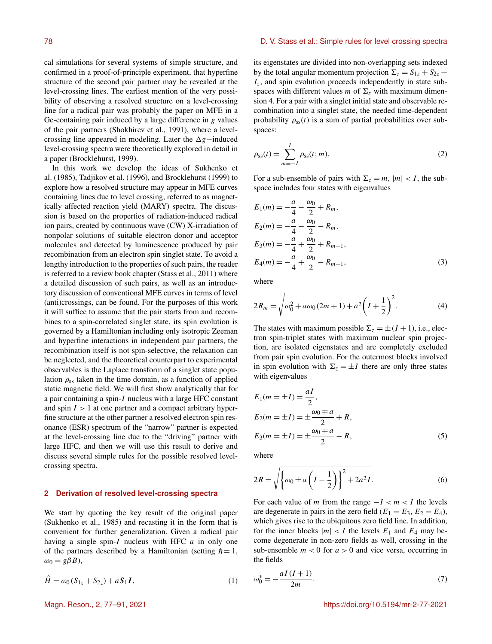cal simulations for several systems of simple structure, and confirmed in a proof-of-principle experiment, that hyperfine structure of the second pair partner may be revealed at the level-crossing lines. The earliest mention of the very possibility of observing a resolved structure on a level-crossing line for a radical pair was probably the paper on MFE in a Ge-containing pair induced by a large difference in g values of the pair partners (Shokhirev et al., 1991), where a levelcrossing line appeared in modeling. Later the  $\Delta g$ −induced level-crossing spectra were theoretically explored in detail in a paper (Brocklehurst, 1999).

In this work we develop the ideas of Sukhenko et al. (1985), Tadjikov et al. (1996), and Brocklehurst (1999) to explore how a resolved structure may appear in MFE curves containing lines due to level crossing, referred to as magnetically affected reaction yield (MARY) spectra. The discussion is based on the properties of radiation-induced radical ion pairs, created by continuous wave (CW) X-irradiation of nonpolar solutions of suitable electron donor and acceptor molecules and detected by luminescence produced by pair recombination from an electron spin singlet state. To avoid a lengthy introduction to the properties of such pairs, the reader is referred to a review book chapter (Stass et al., 2011) where a detailed discussion of such pairs, as well as an introductory discussion of conventional MFE curves in terms of level (anti)crossings, can be found. For the purposes of this work it will suffice to assume that the pair starts from and recombines to a spin-correlated singlet state, its spin evolution is governed by a Hamiltonian including only isotropic Zeeman and hyperfine interactions in independent pair partners, the recombination itself is not spin-selective, the relaxation can be neglected, and the theoretical counterpart to experimental observables is the Laplace transform of a singlet state population  $\rho_{ss}$  taken in the time domain, as a function of applied static magnetic field. We will first show analytically that for a pair containing a spin-I nucleus with a large HFC constant and spin  $I > 1$  at one partner and a compact arbitrary hyperfine structure at the other partner a resolved electron spin resonance (ESR) spectrum of the "narrow" partner is expected at the level-crossing line due to the "driving" partner with large HFC, and then we will use this result to derive and discuss several simple rules for the possible resolved levelcrossing spectra.

#### **2 Derivation of resolved level-crossing spectra**

We start by quoting the key result of the original paper (Sukhenko et al., 1985) and recasting it in the form that is convenient for further generalization. Given a radical pair having a single spin- $I$  nucleus with HFC  $a$  in only one of the partners described by a Hamiltonian (setting  $\hbar = 1$ ,  $\omega_0 = g\beta B$ ),

$$
\hat{H} = \omega_0 (S_{1z} + S_{2z}) + aS_1 I, \tag{1}
$$

its eigenstates are divided into non-overlapping sets indexed by the total angular momentum projection  $\Sigma_z = S_{1z} + S_{2z} +$  $I_z$ , and spin evolution proceeds independently in state subspaces with different values m of  $\Sigma_z$  with maximum dimension 4. For a pair with a singlet initial state and observable recombination into a singlet state, the needed time-dependent probability  $\rho_{ss}(t)$  is a sum of partial probabilities over subspaces:

$$
\rho_{ss}(t) = \sum_{m=-I}^{I} \rho_{ss}(t; m).
$$
\n(2)

For a sub-ensemble of pairs with  $\Sigma_z = m$ ,  $|m| < I$ , the subspace includes four states with eigenvalues

$$
E_1(m) = -\frac{a}{4} - \frac{\omega_0}{2} + R_m,
$$
  
\n
$$
E_2(m) = -\frac{a}{4} - \frac{\omega_0}{2} - R_m,
$$
  
\n
$$
E_3(m) = -\frac{a}{4} + \frac{\omega_0}{2} + R_{m-1},
$$
  
\n
$$
E_4(m) = -\frac{a}{4} + \frac{\omega_0}{2} - R_{m-1},
$$
\n(3)

where

$$
2R_m = \sqrt{\omega_0^2 + a\omega_0(2m+1) + a^2\left(I + \frac{1}{2}\right)^2}.
$$
 (4)

The states with maximum possible  $\Sigma_z = \pm (I + 1)$ , i.e., electron spin-triplet states with maximum nuclear spin projection, are isolated eigenstates and are completely excluded from pair spin evolution. For the outermost blocks involved in spin evolution with  $\Sigma_z = \pm I$  there are only three states with eigenvalues

$$
E_1(m = \pm I) = \frac{aI}{2},
$$
  
\n
$$
E_2(m = \pm I) = \pm \frac{\omega_0 \mp a}{2} + R,
$$
  
\n
$$
E_3(m = \pm I) = \pm \frac{\omega_0 \mp a}{2} - R,
$$
\n(5)

where

$$
2R = \sqrt{\left\{\omega_0 \pm a \left(I - \frac{1}{2}\right)\right\}^2 + 2a^2 I}.
$$
 (6)

For each value of m from the range  $-I < m < I$  the levels are degenerate in pairs in the zero field ( $E_1 = E_3$ ,  $E_2 = E_4$ ), which gives rise to the ubiquitous zero field line. In addition, for the inner blocks  $|m| < I$  the levels  $E_1$  and  $E_4$  may become degenerate in non-zero fields as well, crossing in the sub-ensemble  $m < 0$  for  $a > 0$  and vice versa, occurring in the fields

$$
\omega_0^* = -\frac{aI(I+1)}{2m}.\tag{7}
$$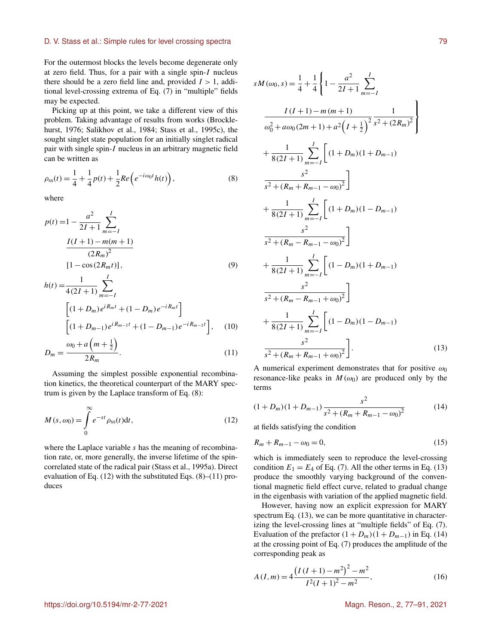For the outermost blocks the levels become degenerate only at zero field. Thus, for a pair with a single spin-I nucleus there should be a zero field line and, provided  $I > 1$ , additional level-crossing extrema of Eq. (7) in "multiple" fields may be expected.

Picking up at this point, we take a different view of this problem. Taking advantage of results from works (Brocklehurst, 1976; Salikhov et al., 1984; Stass et al., 1995c), the sought singlet state population for an initially singlet radical pair with single spin-I nucleus in an arbitrary magnetic field can be written as

$$
\rho_{ss}(t) = \frac{1}{4} + \frac{1}{4}p(t) + \frac{1}{2}Re\left(e^{-i\omega_0 t}h(t)\right),\tag{8}
$$

where

$$
p(t) = 1 - \frac{a^2}{2I + 1} \sum_{m=-I}^{I}
$$

$$
\frac{I(I + 1) - m(m + 1)}{(2R_m)^2}
$$

$$
[1 - \cos(2R_m t)],
$$
(9)

$$
h(t) = \frac{1}{4(2I+1)} \sum_{m=-I}^{I}
$$
  
\n
$$
\left[ (1+D_m)e^{iR_m t} + (1-D_m)e^{-iR_m t} \right]
$$
  
\n
$$
\left[ (1+D_{m-1})e^{iR_{m-1}t} + (1-D_{m-1})e^{-iR_{m-1}t} \right], \quad (10)
$$
  
\n
$$
\omega_0 + a\left(m + \frac{1}{2}\right)
$$

$$
D_m = \frac{2R_m}{2R_m}.
$$
\n(11)

Assuming the simplest possible exponential recombination kinetics, the theoretical counterpart of the MARY spectrum is given by the Laplace transform of Eq. (8):

$$
M(s, \omega_0) = \int_{0}^{\infty} e^{-st} \rho_{ss}(t) dt,
$$
\n(12)

where the Laplace variable s has the meaning of recombination rate, or, more generally, the inverse lifetime of the spincorrelated state of the radical pair (Stass et al., 1995a). Direct evaluation of Eq. (12) with the substituted Eqs. (8)–(11) produces

$$
sM(\omega_0, s) = \frac{1}{4} + \frac{1}{4} \left\{ 1 - \frac{a^2}{2I + 1} \sum_{m=-I}^{I} \frac{1}{\omega_0^2 + a\omega_0 (2m + 1) + a^2 (I + \frac{1}{2})^2} \frac{1}{s^2 + (2R_m)^2} \right\}
$$
  
+ 
$$
\frac{1}{8(2I + 1)} \sum_{m=-I}^{I} \left[ (1 + D_m)(1 + D_{m-1}) \frac{s^2}{s^2 + (R_m + R_{m-1} - \omega_0)^2} \right]
$$
  
+ 
$$
\frac{1}{8(2I + 1)} \sum_{m=-I}^{I} \left[ (1 + D_m)(1 - D_{m-1}) \frac{s^2}{s^2 + (R_m - R_{m-1} - \omega_0)^2} \right]
$$
  
+ 
$$
\frac{1}{8(2I + 1)} \sum_{m=-I}^{I} \left[ (1 - D_m)(1 + D_{m-1}) \frac{s^2}{s^2 + (R_m - R_{m-1} + \omega_0)^2} \right]
$$
  
+ 
$$
\frac{1}{8(2I + 1)} \sum_{m=-I}^{I} \left[ (1 - D_m)(1 - D_{m-1}) \frac{s^2}{s^2 + (R_m - R_{m-1} + \omega_0)^2} \right]
$$
  
+ 
$$
\frac{s^2}{8(2I + 1)} \sum_{m=-I}^{I} \left[ (1 - D_m)(1 - D_{m-1}) \frac{s^2}{s^2 + (R_m + R_{m-1} + \omega_0)^2} \right].
$$
(13)

A numerical experiment demonstrates that for positive  $\omega_0$ resonance-like peaks in  $M(\omega_0)$  are produced only by the terms

$$
(1+D_m)(1+D_{m-1})\frac{s^2}{s^2+(R_m+R_{m-1}-\omega_0)^2}
$$
 (14)

at fields satisfying the condition

$$
R_m + R_{m-1} - \omega_0 = 0,\t\t(15)
$$

which is immediately seen to reproduce the level-crossing condition  $E_1 = E_4$  of Eq. (7). All the other terms in Eq. (13) produce the smoothly varying background of the conventional magnetic field effect curve, related to gradual change in the eigenbasis with variation of the applied magnetic field.

However, having now an explicit expression for MARY spectrum Eq.  $(13)$ , we can be more quantitative in characterizing the level-crossing lines at "multiple fields" of Eq. (7). Evaluation of the prefactor  $(1 + D_m)(1 + D_{m-1})$  in Eq. (14) at the crossing point of Eq. (7) produces the amplitude of the corresponding peak as

$$
A(I,m) = 4\frac{\left(I\left(I+1\right) - m^2\right)^2 - m^2}{I^2(I+1)^2 - m^2},\tag{16}
$$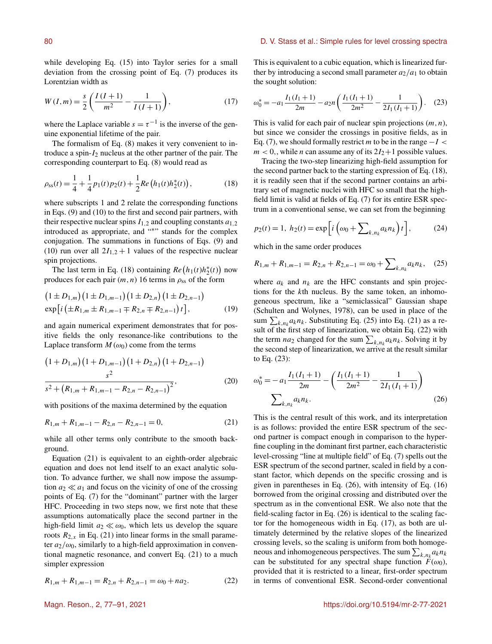while developing Eq. (15) into Taylor series for a small deviation from the crossing point of Eq. (7) produces its Lorentzian width as

$$
W(I,m) = \frac{s}{2} \left( \frac{I(I+1)}{m^2} - \frac{1}{I(I+1)} \right),\tag{17}
$$

where the Laplace variable  $s = \tau^{-1}$  is the inverse of the genuine exponential lifetime of the pair.

The formalism of Eq. (8) makes it very convenient to introduce a spin- $I_2$  nucleus at the other partner of the pair. The corresponding counterpart to Eq. (8) would read as

$$
\rho_{ss}(t) = \frac{1}{4} + \frac{1}{4}p_1(t)p_2(t) + \frac{1}{2}Re\left(h_1(t)h_2^*(t)\right),\tag{18}
$$

where subscripts 1 and 2 relate the corresponding functions in Eqs. (9) and (10) to the first and second pair partners, with their respective nuclear spins  $I_{1,2}$  and coupling constants  $a_{1,2}$ introduced as appropriate, and "<sup>∗</sup> " stands for the complex conjugation. The summations in functions of Eqs. (9) and (10) run over all  $2I_{1,2} + 1$  values of the respective nuclear spin projections.

The last term in Eq. (18) containing  $Re(h_1(t)h_2^*(t))$  now produces for each pair  $(m, n)$  16 terms in  $\rho_{ss}$  of the form

$$
(1 \pm D_{1,m}) (1 \pm D_{1,m-1}) (1 \pm D_{2,n}) (1 \pm D_{2,n-1})
$$
  
exp[*i* ( $\pm R_{1,m} \pm R_{1,m-1} \mp R_{2,n} \mp R_{2,n-1}) t$ ], (19)

and again numerical experiment demonstrates that for positive fields the only resonance-like contributions to the Laplace transform  $M(\omega_0)$  come from the terms

$$
(1+D_{1,m})(1+D_{1,m-1})(1+D_{2,n})(1+D_{2,n-1})
$$
  

$$
\frac{s^2}{s^2+(R_{1,m}+R_{1,m-1}-R_{2,n}-R_{2,n-1})^2},
$$
 (20)

with positions of the maxima determined by the equation

$$
R_{1,m} + R_{1,m-1} - R_{2,n} - R_{2,n-1} = 0,\t\t(21)
$$

while all other terms only contribute to the smooth background.

Equation (21) is equivalent to an eighth-order algebraic equation and does not lend itself to an exact analytic solution. To advance further, we shall now impose the assumption  $a_2 \ll a_1$  and focus on the vicinity of one of the crossing points of Eq. (7) for the "dominant" partner with the larger HFC. Proceeding in two steps now, we first note that these assumptions automatically place the second partner in the high-field limit  $a_2 \ll \omega_0$ , which lets us develop the square roots  $R_{2,x}$  in Eq. (21) into linear forms in the small parameter  $a_2/\omega_0$ , similarly to a high-field approximation in conventional magnetic resonance, and convert Eq. (21) to a much simpler expression

$$
R_{1,m} + R_{1,m-1} = R_{2,n} + R_{2,n-1} = \omega_0 + na_2.
$$
 (22)

This is equivalent to a cubic equation, which is linearized further by introducing a second small parameter  $a_2/a_1$  to obtain the sought solution:

$$
\omega_0^* = -a_1 \frac{I_1(I_1 + 1)}{2m} - a_2 n \left( \frac{I_1(I_1 + 1)}{2m^2} - \frac{1}{2I_1(I_1 + 1)} \right). \tag{23}
$$

This is valid for each pair of nuclear spin projections  $(m, n)$ , but since we consider the crossings in positive fields, as in Eq. (7), we should formally restrict m to be in the range  $-I <$  $m < 0$ , while *n* can assume any of its  $2I_2+1$  possible values.

Tracing the two-step linearizing high-field assumption for the second partner back to the starting expression of Eq. (18), it is readily seen that if the second partner contains an arbitrary set of magnetic nuclei with HFC so small that the highfield limit is valid at fields of Eq. (7) for its entire ESR spectrum in a conventional sense, we can set from the beginning

$$
p_2(t) = 1, \ h_2(t) = \exp\left[i\left(\omega_0 + \sum_{k,n_k} a_k n_k\right)t\right],\tag{24}
$$

which in the same order produces

$$
R_{1,m} + R_{1,m-1} = R_{2,n} + R_{2,n-1} = \omega_0 + \sum_{k,n_k} a_k n_k, \quad (25)
$$

where  $a_k$  and  $n_k$  are the HFC constants and spin projections for the kth nucleus. By the same token, an inhomogeneous spectrum, like a "semiclassical" Gaussian shape (Schulten and Wolynes, 1978), can be used in place of the sum  $\sum_{k,n_k} a_k n_k$ . Substituting Eq. (25) into Eq. (21) as a result of the first step of linearization, we obtain Eq. (22) with the term  $na_2$  changed for the sum  $\sum_{k,n_k} a_k n_k$ . Solving it by the second step of linearization, we arrive at the result similar to Eq. (23):

$$
\omega_0^* = -a_1 \frac{I_1(I_1 + 1)}{2m} - \left(\frac{I_1(I_1 + 1)}{2m^2} - \frac{1}{2I_1(I_1 + 1)}\right)
$$
  

$$
\sum_{k,n_k} a_k n_k.
$$
 (26)

This is the central result of this work, and its interpretation is as follows: provided the entire ESR spectrum of the second partner is compact enough in comparison to the hyperfine coupling in the dominant first partner, each characteristic level-crossing "line at multiple field" of Eq. (7) spells out the ESR spectrum of the second partner, scaled in field by a constant factor, which depends on the specific crossing and is given in parentheses in Eq. (26), with intensity of Eq. (16) borrowed from the original crossing and distributed over the spectrum as in the conventional ESR. We also note that the field-scaling factor in Eq. (26) is identical to the scaling factor for the homogeneous width in Eq. (17), as both are ultimately determined by the relative slopes of the linearized crossing levels, so the scaling is uniform from both homogeneous and inhomogeneous perspectives. The sum  $\sum_{k,n_k} a_k n_k$ can be substituted for any spectral shape function  $F(\omega_0)$ , provided that it is restricted to a linear, first-order spectrum in terms of conventional ESR. Second-order conventional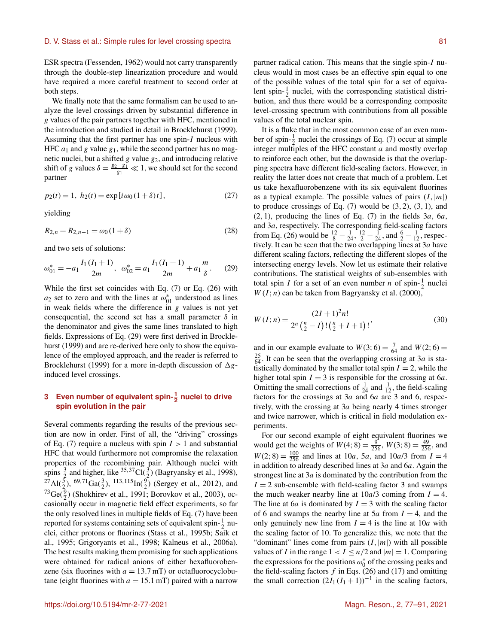ESR spectra (Fessenden, 1962) would not carry transparently through the double-step linearization procedure and would have required a more careful treatment to second order at both steps.

We finally note that the same formalism can be used to analyze the level crossings driven by substantial difference in g values of the pair partners together with HFC, mentioned in the introduction and studied in detail in Brocklehurst (1999). Assuming that the first partner has one spin-I nucleus with HFC  $a_1$  and g value  $g_1$ , while the second partner has no magnetic nuclei, but a shifted  $g$  value  $g_2$ , and introducing relative shift of g values  $\delta = \frac{g_2 - g_1}{g_1} \ll 1$ , we should set for the second partner

$$
p_2(t) = 1, \ h_2(t) = \exp[i\omega_0(1+\delta)t], \tag{27}
$$

yielding

$$
R_{2,n} + R_{2,n-1} = \omega_0 (1 + \delta) \tag{28}
$$

and two sets of solutions:

$$
\omega_{01}^* = -a_1 \frac{I_1(I_1 + 1)}{2m}, \ \omega_{02}^* = a_1 \frac{I_1(I_1 + 1)}{2m} + a_1 \frac{m}{\delta}.
$$
 (29)

While the first set coincides with Eq. (7) or Eq. (26) with  $a_2$  set to zero and with the lines at  $\omega_{01}^*$  understood as lines in weak fields where the difference in g values is not yet consequential, the second set has a small parameter  $\delta$  in the denominator and gives the same lines translated to high fields. Expressions of Eq. (29) were first derived in Brocklehurst (1999) and are re-derived here only to show the equivalence of the employed approach, and the reader is referred to Brocklehurst (1999) for a more in-depth discussion of  $\Delta g$ induced level crossings.

# **3** Even number of equivalent spin- $\frac{1}{2}$  nuclei to drive **spin evolution in the pair**

Several comments regarding the results of the previous section are now in order. First of all, the "driving" crossings of Eq. (7) require a nucleus with spin  $I > 1$  and substantial HFC that would furthermore not compromise the relaxation properties of the recombining pair. Although nuclei with spins  $\frac{3}{2}$  and higher, like  $\frac{35,37}{2}Cl(\frac{3}{2})$  (Bagryansky et al., 1998),  $^{27}$ Al( $^{5}_{2}$ ),  $^{69,71}$ Ga( $^{3}_{2}$ ),  $^{113,115}$ In( $^{9}_{2}$ ) (Sergey et al., 2012), and  $^{73}Ge(\frac{9}{2})$  (Shokhirev et al., 1991; Borovkov et al., 2003), occasionally occur in magnetic field effect experiments, so far the only resolved lines in multiple fields of Eq. (7) have been reported for systems containing sets of equivalent spin- $\frac{1}{2}$  nuclei, either protons or fluorines (Stass et al., 1995b; Saik et al., 1995; Grigoryants et al., 1998; Kalneus et al., 2006a). The best results making them promising for such applications were obtained for radical anions of either hexafluorobenzene (six fluorines with  $a = 13.7$  mT) or octafluorocyclobutane (eight fluorines with  $a = 15.1$  mT) paired with a narrow partner radical cation. This means that the single spin-I nucleus would in most cases be an effective spin equal to one of the possible values of the total spin for a set of equivalent spin- $\frac{1}{2}$  nuclei, with the corresponding statistical distribution, and thus there would be a corresponding composite level-crossing spectrum with contributions from all possible values of the total nuclear spin.

It is a fluke that in the most common case of an even number of spin- $\frac{1}{2}$  nuclei the crossings of Eq. (7) occur at simple integer multiples of the HFC constant  $a$  and mostly overlap to reinforce each other, but the downside is that the overlapping spectra have different field-scaling factors. However, in reality the latter does not create that much of a problem. Let us take hexafluorobenzene with its six equivalent fluorines as a typical example. The possible values of pairs  $(I,|m|)$ to produce crossings of Eq.  $(7)$  would be  $(3, 2)$ ,  $(3, 1)$ , and  $(2,1)$ , producing the lines of Eq.  $(7)$  in the fields  $3a, 6a,$ and 3a, respectively. The corresponding field-scaling factors from Eq. (26) would be  $\frac{12}{8} - \frac{1}{24}$ ,  $\frac{12}{2} - \frac{1}{24}$ , and  $\frac{6}{2} - \frac{1}{12}$ , respectively. It can be seen that the two overlapping lines at  $3a$  have different scaling factors, reflecting the different slopes of the intersecting energy levels. Now let us estimate their relative contributions. The statistical weights of sub-ensembles with total spin *I* for a set of an even number *n* of spin- $\frac{1}{2}$  nuclei  $W(I; n)$  can be taken from Bagryansky et al. (2000),

$$
W(I; n) = \frac{(2I + 1)^2 n!}{2^n \left(\frac{n}{2} - I\right) \left(\frac{n}{2} + I + 1\right)!},\tag{30}
$$

and in our example evaluate to  $W(3, 6) = \frac{7}{64}$  and  $W(2, 6) =$  $\frac{25}{64}$ . It can be seen that the overlapping crossing at 3*a* is statistically dominated by the smaller total spin  $I = 2$ , while the higher total spin  $I = 3$  is responsible for the crossing at 6*a*. Omitting the small corrections of  $\frac{1}{24}$  and  $\frac{1}{12}$ , the field-scaling factors for the crossings at  $3a$  and  $6a$  are 3 and 6, respectively, with the crossing at 3a being nearly 4 times stronger and twice narrower, which is critical in field modulation experiments.

For our second example of eight equivalent fluorines we would get the weights of  $W(4; 8) = \frac{9}{256}$ ,  $W(3; 8) = \frac{49}{256}$ , and  $W(2; 8) = \frac{100}{256}$  and lines at 10*a*, 5*a*, and 10*a*/3 from  $I = 4$ in addition to already described lines at  $3a$  and  $6a$ . Again the strongest line at  $3a$  is dominated by the contribution from the  $I = 2$  sub-ensemble with field-scaling factor 3 and swamps the much weaker nearby line at  $10a/3$  coming from  $I = 4$ . The line at 6*a* is dominated by  $I = 3$  with the scaling factor of 6 and swamps the nearby line at  $5a$  from  $I = 4$ , and the only genuinely new line from  $I = 4$  is the line at 10*a* with the scaling factor of 10. To generalize this, we note that the "dominant" lines come from pairs  $(I,|m|)$  with all possible values of I in the range  $1 < I \leq n/2$  and  $|m| = 1$ . Comparing the expressions for the positions  $\omega_0^*$  of the crossing peaks and the field-scaling factors  $f$  in Eqs. (26) and (17) and omitting the small correction  $(2I_1(I_1 + 1))^{-1}$  in the scaling factors,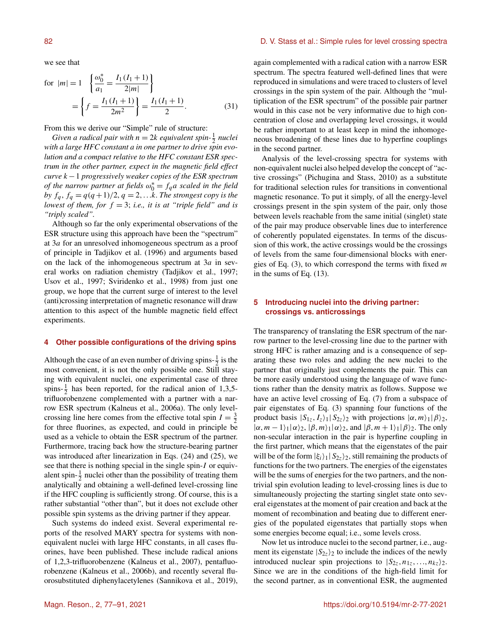we see that

for 
$$
|m| = 1
$$
 
$$
\left\{ \frac{\omega_0^*}{a_1} = \frac{I_1(I_1 + 1)}{2|m|} \right\}
$$

$$
= \left\{ f = \frac{I_1(I_1 + 1)}{2m^2} \right\} = \frac{I_1(I_1 + 1)}{2}.
$$
 (31)

From this we derive our "Simple" rule of structure:

*Given a radical pair with*  $n = 2k$  *equivalent spin*- $\frac{1}{2}$  *nuclei with a large HFC constant a in one partner to drive spin evolution and a compact relative to the HFC constant ESR spectrum in the other partner, expect in the magnetic field effect curve* k−1 *progressively weaker copies of the ESR spectrum of the narrow partner at fields*  $\omega_0^* = f_q a$  *scaled in the field by*  $f_q$ ,  $f_q = q(q + 1)/2$ ,  $q = 2,...k$ . *The strongest copy is the lowest of them, for*  $f = 3$ ; *i.e., it is at "triple field" and is "triply scaled".*

Although so far the only experimental observations of the ESR structure using this approach have been the "spectrum" at 3a for an unresolved inhomogeneous spectrum as a proof of principle in Tadjikov et al. (1996) and arguments based on the lack of the inhomogeneous spectrum at  $3a$  in several works on radiation chemistry (Tadjikov et al., 1997; Usov et al., 1997; Sviridenko et al., 1998) from just one group, we hope that the current surge of interest to the level (anti)crossing interpretation of magnetic resonance will draw attention to this aspect of the humble magnetic field effect experiments.

# **4 Other possible configurations of the driving spins**

Although the case of an even number of driving spins- $\frac{1}{2}$  is the most convenient, it is not the only possible one. Still staying with equivalent nuclei, one experimental case of three spins- $\frac{1}{2}$  has been reported, for the radical anion of 1,3,5trifluorobenzene complemented with a partner with a narrow ESR spectrum (Kalneus et al., 2006a). The only levelcrossing line here comes from the effective total spin  $I = \frac{3}{2}$ for three fluorines, as expected, and could in principle be used as a vehicle to obtain the ESR spectrum of the partner. Furthermore, tracing back how the structure-bearing partner was introduced after linearization in Eqs. (24) and (25), we see that there is nothing special in the single spin-I or equivalent spin- $\frac{1}{2}$  nuclei other than the possibility of treating them analytically and obtaining a well-defined level-crossing line if the HFC coupling is sufficiently strong. Of course, this is a rather substantial "other than", but it does not exclude other possible spin systems as the driving partner if they appear.

Such systems do indeed exist. Several experimental reports of the resolved MARY spectra for systems with nonequivalent nuclei with large HFC constants, in all cases fluorines, have been published. These include radical anions of 1,2,3-trifluorobenzene (Kalneus et al., 2007), pentafluorobenzene (Kalneus et al., 2006b), and recently several fluorosubstituted diphenylacetylenes (Sannikova et al., 2019),

#### 82 **B. B. St. St. St. St. St. St. Simple rules for level crossing spectra**  $\Box$  D. V. Stass et al.: Simple rules for level crossing spectra

again complemented with a radical cation with a narrow ESR spectrum. The spectra featured well-defined lines that were reproduced in simulations and were traced to clusters of level crossings in the spin system of the pair. Although the "multiplication of the ESR spectrum" of the possible pair partner would in this case not be very informative due to high concentration of close and overlapping level crossings, it would be rather important to at least keep in mind the inhomogeneous broadening of these lines due to hyperfine couplings in the second partner.

Analysis of the level-crossing spectra for systems with non-equivalent nuclei also helped develop the concept of "active crossings" (Pichugina and Stass, 2010) as a substitute for traditional selection rules for transitions in conventional magnetic resonance. To put it simply, of all the energy-level crossings present in the spin system of the pair, only those between levels reachable from the same initial (singlet) state of the pair may produce observable lines due to interference of coherently populated eigenstates. In terms of the discussion of this work, the active crossings would be the crossings of levels from the same four-dimensional blocks with energies of Eq.  $(3)$ , to which correspond the terms with fixed m in the sums of Eq. (13).

# **5 Introducing nuclei into the driving partner: crossings vs. anticrossings**

The transparency of translating the ESR spectrum of the narrow partner to the level-crossing line due to the partner with strong HFC is rather amazing and is a consequence of separating these two roles and adding the new nuclei to the partner that originally just complements the pair. This can be more easily understood using the language of wave functions rather than the density matrix as follows. Suppose we have an active level crossing of Eq. (7) from a subspace of pair eigenstates of Eq. (3) spanning four functions of the product basis  $|S_{1z}, I_z\rangle_1|S_{2z}\rangle_2$  with projections  $|\alpha, m\rangle_1|\beta\rangle_2$ ,  $|\alpha,m-1\rangle_1|\alpha\rangle_2$ ,  $|\beta,m\rangle_1|\alpha\rangle_2$ , and  $|\beta,m+1\rangle_1|\beta\rangle_2$ . The only non-secular interaction in the pair is hyperfine coupling in the first partner, which means that the eigenstates of the pair will be of the form  $|\xi_i\rangle_1|S_{2z}\rangle_2$ , still remaining the products of functions for the two partners. The energies of the eigenstates will be the sums of energies for the two partners, and the nontrivial spin evolution leading to level-crossing lines is due to simultaneously projecting the starting singlet state onto several eigenstates at the moment of pair creation and back at the moment of recombination and beating due to different energies of the populated eigenstates that partially stops when some energies become equal; i.e., some levels cross.

Now let us introduce nuclei to the second partner, i.e., augment its eigenstate  $|S_{2z}\rangle_2$  to include the indices of the newly introduced nuclear spin projections to  $|S_{2z}, n_{1z},...,n_{kz}\rangle_2$ . Since we are in the conditions of the high-field limit for the second partner, as in conventional ESR, the augmented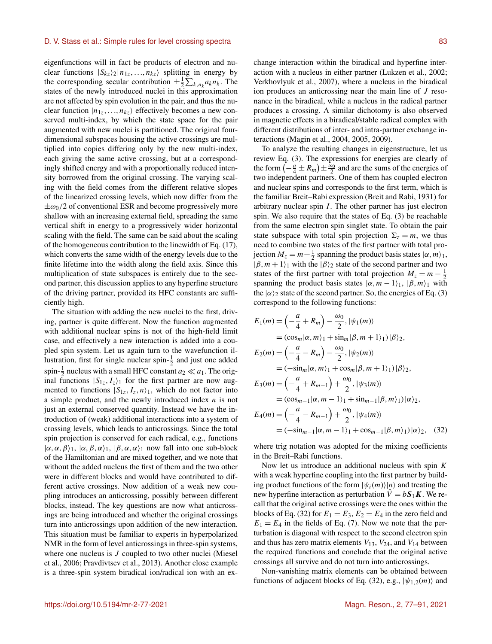eigenfunctions will in fact be products of electron and nuclear functions  $|S_{kz}\rangle_2|n_{1z},...,n_{kz}\rangle$  splitting in energy by the corresponding secular contribution  $\pm \frac{1}{2} \sum_{k,n_k} a_k n_k$ . The states of the newly introduced nuclei in this approximation are not affected by spin evolution in the pair, and thus the nuclear function  $|n_1, \ldots, n_{kz}\rangle$  effectively becomes a new conserved multi-index, by which the state space for the pair augmented with new nuclei is partitioned. The original fourdimensional subspaces housing the active crossings are multiplied into copies differing only by the new multi-index, each giving the same active crossing, but at a correspondingly shifted energy and with a proportionally reduced intensity borrowed from the original crossing. The varying scaling with the field comes from the different relative slopes of the linearized crossing levels, which now differ from the  $\pm \omega_0/2$  of conventional ESR and become progressively more shallow with an increasing external field, spreading the same vertical shift in energy to a progressively wider horizontal scaling with the field. The same can be said about the scaling of the homogeneous contribution to the linewidth of Eq. (17), which converts the same width of the energy levels due to the finite lifetime into the width along the field axis. Since this multiplication of state subspaces is entirely due to the second partner, this discussion applies to any hyperfine structure of the driving partner, provided its HFC constants are sufficiently high.

The situation with adding the new nuclei to the first, driving, partner is quite different. Now the function augmented with additional nuclear spins is not of the high-field limit case, and effectively a new interaction is added into a coupled spin system. Let us again turn to the wavefunction illustration, first for single nuclear spin- $\frac{1}{2}$  and just one added spin- $\frac{1}{2}$  nucleus with a small HFC constant  $a_2 \ll a_1$ . The original functions  $|S_{1z}, I_z\rangle_1$  for the first partner are now augmented to functions  $|S_{1z}, I_z, n\rangle_1$ , which do not factor into a simple product, and the newly introduced index  $n$  is not just an external conserved quantity. Instead we have the introduction of (weak) additional interactions into a system of crossing levels, which leads to anticrossings. Since the total spin projection is conserved for each radical, e.g., functions  $|\alpha, \alpha, \beta\rangle_1$ ,  $|\alpha, \beta, \alpha\rangle_1$ ,  $|\beta, \alpha, \alpha\rangle_1$  now fall into one sub-block of the Hamiltonian and are mixed together, and we note that without the added nucleus the first of them and the two other were in different blocks and would have contributed to different active crossings. Now addition of a weak new coupling introduces an anticrossing, possibly between different blocks, instead. The key questions are now what anticrossings are being introduced and whether the original crossings turn into anticrossings upon addition of the new interaction. This situation must be familiar to experts in hyperpolarized NMR in the form of level anticrossings in three-spin systems, where one nucleus is *J* coupled to two other nuclei (Miesel et al., 2006; Pravdivtsev et al., 2013). Another close example is a three-spin system biradical ion/radical ion with an exchange interaction within the biradical and hyperfine interaction with a nucleus in either partner (Lukzen et al., 2002; Verkhovlyuk et al., 2007), where a nucleus in the biradical ion produces an anticrossing near the main line of  $J$  resonance in the biradical, while a nucleus in the radical partner produces a crossing. A similar dichotomy is also observed in magnetic effects in a biradical/stable radical complex with different distributions of inter- and intra-partner exchange interactions (Magin et al., 2004, 2005, 2009).

To analyze the resulting changes in eigenstructure, let us review Eq. (3). The expressions for energies are clearly of the form  $\left(-\frac{a}{4} \pm R_m\right) \pm \frac{\omega_0}{2}$  and are the sums of the energies of two independent partners. One of them has coupled electron and nuclear spins and corresponds to the first term, which is the familiar Breit–Rabi expression (Breit and Rabi, 1931) for arbitrary nuclear spin  $I$ . The other partner has just electron spin. We also require that the states of Eq. (3) be reachable from the same electron spin singlet state. To obtain the pair state subspace with total spin projection  $\Sigma_z = m$ , we thus need to combine two states of the first partner with total projection  $M_z = m + \frac{1}{2}$  spanning the product basis states  $|\alpha, m\rangle_1$ ,  $|\beta, m + 1\rangle$ <sub>1</sub> with the  $|\beta\rangle$ <sub>2</sub> state of the second partner and two states of the first partner with total projection  $M_z = m - \frac{1}{2}$ spanning the product basis states  $|\alpha, m - 1\rangle_1$ ,  $|\beta, m\rangle_1$  with the  $|\alpha\rangle_2$  state of the second partner. So, the energies of Eq. (3) correspond to the following functions:

$$
E_1(m) = \left(-\frac{a}{4} + R_m\right) - \frac{\omega_0}{2}, |\psi_1(m)\rangle
$$
  
\n
$$
= (\cos_m|\alpha, m\rangle_1 + \sin_m|\beta, m + 1\rangle_1)|\beta\rangle_2,
$$
  
\n
$$
E_2(m) = \left(-\frac{a}{4} - R_m\right) - \frac{\omega_0}{2}, |\psi_2(m)\rangle
$$
  
\n
$$
= (-\sin_m|\alpha, m\rangle_1 + \cos_m|\beta, m + 1\rangle_1)|\beta\rangle_2,
$$
  
\n
$$
E_3(m) = \left(-\frac{a}{4} + R_{m-1}\right) + \frac{\omega_0}{2}, |\psi_3(m)\rangle
$$
  
\n
$$
= (\cos_{m-1}|\alpha, m - 1\rangle_1 + \sin_{m-1}|\beta, m\rangle_1)|\alpha\rangle_2,
$$
  
\n
$$
E_4(m) = \left(-\frac{a}{4} - R_{m-1}\right) + \frac{\omega_0}{2}, |\psi_4(m)\rangle
$$
  
\n
$$
= (-\sin_{m-1}|\alpha, m - 1\rangle_1 + \cos_{m-1}|\beta, m\rangle_1)|\alpha\rangle_2, (32)
$$

where trig notation was adopted for the mixing coefficients in the Breit–Rabi functions.

Now let us introduce an additional nucleus with spin  $K$ with a weak hyperfine coupling into the first partner by building product functions of the form  $|\psi_i(m)\rangle|n\rangle$  and treating the new hyperfine interaction as perturbation  $\hat{V} = bS_1K$ . We recall that the original active crossings were the ones within the blocks of Eq. (32) for  $E_1 = E_3$ ,  $E_2 = E_4$  in the zero field and  $E_1 = E_4$  in the fields of Eq. (7). Now we note that the perturbation is diagonal with respect to the second electron spin and thus has zero matrix elements  $V_{13}$ ,  $V_{24}$ , and  $V_{14}$  between the required functions and conclude that the original active crossings all survive and do not turn into anticrossings.

Non-vanishing matrix elements can be obtained between functions of adjacent blocks of Eq. (32), e.g.,  $|\psi_{1,2}(m)\rangle$  and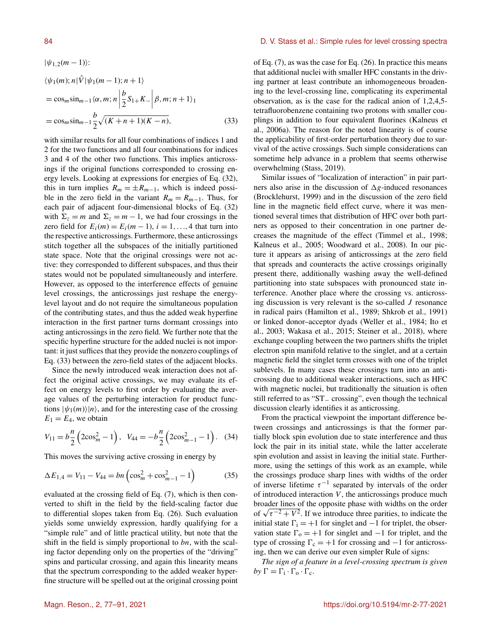$$
|\psi_{1,2}(m-1)\rangle:
$$
  
\n
$$
\langle \psi_1(m); n | \hat{V} | \psi_1(m-1); n+1 \rangle
$$
  
\n
$$
= \cos_m \sin_{m-1} \langle \alpha, m; n | \frac{b}{2} S_{1+} K_- | \beta, m; n+1 \rangle_1
$$
  
\n
$$
= \cos_m \sin_{m-1} \frac{b}{2} \sqrt{(K+n+1)(K-n)},
$$
\n(33)

with similar results for all four combinations of indices 1 and 2 for the two functions and all four combinations for indices 3 and 4 of the other two functions. This implies anticrossings if the original functions corresponded to crossing energy levels. Looking at expressions for energies of Eq. (32), this in turn implies  $R_m = \pm R_{m-1}$ , which is indeed possible in the zero field in the variant  $R_m = R_{m-1}$ . Thus, for each pair of adjacent four-dimensional blocks of Eq. (32) with  $\Sigma_z = m$  and  $\Sigma_z = m - 1$ , we had four crossings in the zero field for  $E_i(m) = E_i(m-1), i = 1, \ldots, 4$  that turn into the respective anticrossings. Furthermore, these anticrossings stitch together all the subspaces of the initially partitioned state space. Note that the original crossings were not active: they corresponded to different subspaces, and thus their states would not be populated simultaneously and interfere. However, as opposed to the interference effects of genuine level crossings, the anticrossings just reshape the energylevel layout and do not require the simultaneous population of the contributing states, and thus the added weak hyperfine interaction in the first partner turns dormant crossings into acting anticrossings in the zero field. We further note that the specific hyperfine structure for the added nuclei is not important: it just suffices that they provide the nonzero couplings of Eq. (33) between the zero-field states of the adjacent blocks.

Since the newly introduced weak interaction does not affect the original active crossings, we may evaluate its effect on energy levels to first order by evaluating the average values of the perturbing interaction for product functions  $|\psi_1(m)\rangle|n\rangle$ , and for the interesting case of the crossing  $E_1 = E_4$ , we obtain

$$
V_{11} = b\frac{n}{2} \left( 2\cos_m^2 - 1 \right), \quad V_{44} = -b\frac{n}{2} \left( 2\cos_{m-1}^2 - 1 \right). \quad (34)
$$

This moves the surviving active crossing in energy by

$$
\Delta E_{1,4} = V_{11} - V_{44} = bn \left( \cos_m^2 + \cos_{m-1}^2 - 1 \right) \tag{35}
$$

evaluated at the crossing field of Eq. (7), which is then converted to shift in the field by the field-scaling factor due to differential slopes taken from Eq. (26). Such evaluation yields some unwieldy expression, hardly qualifying for a "simple rule" and of little practical utility, but note that the shift in the field is simply proportional to  $bn$ , with the scaling factor depending only on the properties of the "driving" spins and particular crossing, and again this linearity means that the spectrum corresponding to the added weaker hyperfine structure will be spelled out at the original crossing point

#### 84 **B. D. V. Stass et al.: Simple rules for level crossing spectra**

of Eq. (7), as was the case for Eq. (26). In practice this means that additional nuclei with smaller HFC constants in the driving partner at least contribute an inhomogeneous broadening to the level-crossing line, complicating its experimental observation, as is the case for the radical anion of 1,2,4,5 tetrafluorobenzene containing two protons with smaller couplings in addition to four equivalent fluorines (Kalneus et al., 2006a). The reason for the noted linearity is of course the applicability of first-order perturbation theory due to survival of the active crossings. Such simple considerations can sometime help advance in a problem that seems otherwise overwhelming (Stass, 2019).

Similar issues of "localization of interaction" in pair partners also arise in the discussion of  $\Delta g$ -induced resonances (Brocklehurst, 1999) and in the discussion of the zero field line in the magnetic field effect curve, where it was mentioned several times that distribution of HFC over both partners as opposed to their concentration in one partner decreases the magnitude of the effect (Timmel et al., 1998; Kalneus et al., 2005; Woodward et al., 2008). In our picture it appears as arising of anticrossings at the zero field that spreads and counteracts the active crossings originally present there, additionally washing away the well-defined partitioning into state subspaces with pronounced state interference. Another place where the crossing vs. anticrossing discussion is very relevant is the so-called  $J$  resonance in radical pairs (Hamilton et al., 1989; Shkrob et al., 1991) or linked donor–acceptor dyads (Weller et al., 1984; Ito et al., 2003; Wakasa et al., 2015; Steiner et al., 2018), where exchange coupling between the two partners shifts the triplet electron spin manifold relative to the singlet, and at a certain magnetic field the singlet term crosses with one of the triplet sublevels. In many cases these crossings turn into an anticrossing due to additional weaker interactions, such as HFC with magnetic nuclei, but traditionally the situation is often still referred to as "ST− crossing", even though the technical discussion clearly identifies it as anticrossing.

From the practical viewpoint the important difference between crossings and anticrossings is that the former partially block spin evolution due to state interference and thus lock the pair in its initial state, while the latter accelerate spin evolution and assist in leaving the initial state. Furthermore, using the settings of this work as an example, while the crossings produce sharp lines with widths of the order of inverse lifetime  $\tau^{-1}$  separated by intervals of the order of introduced interaction  $V$ , the anticrossings produce much broader lines of the opposite phase with widths on the order broader lines of the opposite phase with widths on the order<br>of  $\sqrt{\tau^{-2} + V^2}$ . If we introduce three parities, to indicate the initial state  $\Gamma_i = +1$  for singlet and  $-1$  for triplet, the observation state  $\Gamma_0 = +1$  for singlet and  $-1$  for triplet, and the type of crossing  $\Gamma_c = +1$  for crossing and  $-1$  for anticrossing, then we can derive our even simpler Rule of signs:

*The sign of a feature in a level-crossing spectrum is given*  $by \Gamma = \Gamma_i \cdot \Gamma_o \cdot \Gamma_c.$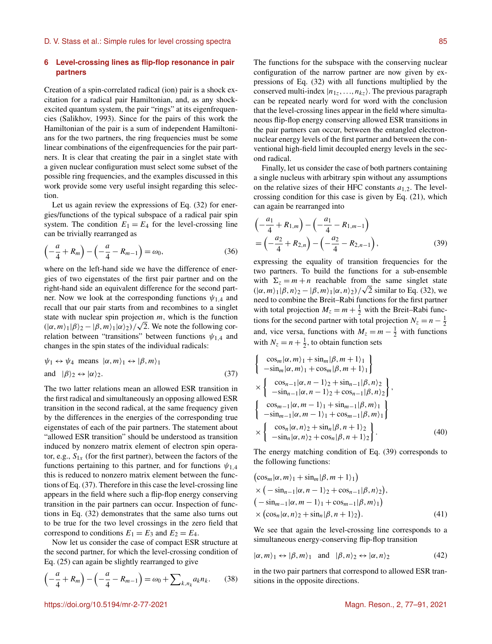# **6 Level-crossing lines as flip-flop resonance in pair partners**

Creation of a spin-correlated radical (ion) pair is a shock excitation for a radical pair Hamiltonian, and, as any shockexcited quantum system, the pair "rings" at its eigenfrequencies (Salikhov, 1993). Since for the pairs of this work the Hamiltonian of the pair is a sum of independent Hamiltonians for the two partners, the ring frequencies must be some linear combinations of the eigenfrequencies for the pair partners. It is clear that creating the pair in a singlet state with a given nuclear configuration must select some subset of the possible ring frequencies, and the examples discussed in this work provide some very useful insight regarding this selection.

Let us again review the expressions of Eq. (32) for energies/functions of the typical subspace of a radical pair spin system. The condition  $E_1 = E_4$  for the level-crossing line can be trivially rearranged as

$$
\left(-\frac{a}{4} + R_m\right) - \left(-\frac{a}{4} - R_{m-1}\right) = \omega_0,\tag{36}
$$

where on the left-hand side we have the difference of energies of two eigenstates of the first pair partner and on the right-hand side an equivalent difference for the second partner. Now we look at the corresponding functions  $\psi_{1,4}$  and recall that our pair starts from and recombines to a singlet state with nuclear spin projection  $m$ , which is the function  $(|\alpha,m\rangle_1|\beta\rangle_2 - |\beta,m\rangle_1|\alpha\rangle_2)/\sqrt{2}$ . We note the following correlation between "transitions" between functions  $\psi_{1,4}$  and changes in the spin states of the individual radicals:

$$
\psi_1 \leftrightarrow \psi_4
$$
 means  $|\alpha, m\rangle_1 \leftrightarrow |\beta, m\rangle_1$   
and  $|\beta\rangle_2 \leftrightarrow |\alpha\rangle_2$ . (37)

The two latter relations mean an allowed ESR transition in the first radical and simultaneously an opposing allowed ESR transition in the second radical, at the same frequency given by the differences in the energies of the corresponding true eigenstates of each of the pair partners. The statement about "allowed ESR transition" should be understood as transition induced by nonzero matrix element of electron spin operator, e.g.,  $S_{1x}$  (for the first partner), between the factors of the functions pertaining to this partner, and for functions  $\psi_{1,4}$ this is reduced to nonzero matrix element between the functions of Eq. (37). Therefore in this case the level-crossing line appears in the field where such a flip-flop energy conserving transition in the pair partners can occur. Inspection of functions in Eq. (32) demonstrates that the same also turns out to be true for the two level crossings in the zero field that correspond to conditions  $E_1 = E_3$  and  $E_2 = E_4$ .

Now let us consider the case of compact ESR structure at the second partner, for which the level-crossing condition of Eq. (25) can again be slightly rearranged to give

$$
\left(-\frac{a}{4} + R_m\right) - \left(-\frac{a}{4} - R_{m-1}\right) = \omega_0 + \sum_{k,n_k} a_k n_k. \tag{38}
$$

The functions for the subspace with the conserving nuclear configuration of the narrow partner are now given by expressions of Eq. (32) with all functions multiplied by the conserved multi-index  $|n_1z, \ldots, n_kz\rangle$ . The previous paragraph can be repeated nearly word for word with the conclusion that the level-crossing lines appear in the field where simultaneous flip-flop energy conserving allowed ESR transitions in the pair partners can occur, between the entangled electronnuclear energy levels of the first partner and between the conventional high-field limit decoupled energy levels in the second radical.

Finally, let us consider the case of both partners containing a single nucleus with arbitrary spin without any assumptions on the relative sizes of their HFC constants  $a_{1,2}$ . The levelcrossing condition for this case is given by Eq. (21), which can again be rearranged into

$$
\begin{aligned} & \left( -\frac{a_1}{4} + R_{1,m} \right) - \left( -\frac{a_1}{4} - R_{1,m-1} \right) \\ &= \left( -\frac{a_2}{4} + R_{2,n} \right) - \left( -\frac{a_2}{4} - R_{2,n-1} \right), \end{aligned} \tag{39}
$$

expressing the equality of transition frequencies for the two partners. To build the functions for a sub-ensemble with  $\Sigma_z = m + n$  reachable from the same singlet state  $(|\alpha,m\rangle_1|\beta,n\rangle_2 - |\beta,m\rangle_1|\alpha,n\rangle_2)/\sqrt{2}$  similar to Eq. (32), we need to combine the Breit–Rabi functions for the first partner with total projection  $M_z = m + \frac{1}{2}$  with the Breit–Rabi functions for the second partner with total projection  $N_z = n - \frac{1}{2}$ and, vice versa, functions with  $M_z = m - \frac{1}{2}$  with functions with  $N_z = n + \frac{1}{2}$ , to obtain function sets

$$
\begin{cases}\n\cos_m |\alpha, m\rangle_1 + \sin_m |\beta, m + 1\rangle_1 \\
-\sin_m |\alpha, m\rangle_1 + \cos_m |\beta, m + 1\rangle_1\n\end{cases}\n\times\n\begin{cases}\n\cos_{n-1} |\alpha, n - 1\rangle_2 + \sin_{n-1} |\beta, n\rangle_2 \\
-\sin_{n-1} |\alpha, n - 1\rangle_2 + \cos_{n-1} |\beta, n\rangle_2\n\end{cases},\n\begin{cases}\n\cos_{m-1} |\alpha, m - 1\rangle_1 + \sin_{m-1} |\beta, m\rangle_1 \\
-\sin_{m-1} |\alpha, m - 1\rangle_1 + \cos_{m-1} |\beta, m\rangle_1\n\end{cases},\n\times\n\begin{cases}\n\cos_n |\alpha, n\rangle_2 + \sin_n |\beta, n + 1\rangle_2 \\
-\sin_n |\alpha, n\rangle_2 + \cos_n |\beta, n + 1\rangle_2\n\end{cases}.
$$
\n(40)

The energy matching condition of Eq. (39) corresponds to the following functions:

$$
(\cos_m|\alpha, m\rangle_1 + \sin_m|\beta, m + 1\rangle_1)
$$
  
\n
$$
\times (-\sin_{n-1}|\alpha, n - 1\rangle_2 + \cos_{n-1}|\beta, n\rangle_2),
$$
  
\n
$$
(-\sin_{m-1}|\alpha, m - 1\rangle_1 + \cos_{m-1}|\beta, m\rangle_1)
$$
  
\n
$$
\times (\cos_n|\alpha, n\rangle_2 + \sin_n|\beta, n + 1\rangle_2).
$$
 (41)

We see that again the level-crossing line corresponds to a simultaneous energy-conserving flip-flop transition

$$
|\alpha, m\rangle_1 \leftrightarrow |\beta, m\rangle_1 \text{ and } |\beta, n\rangle_2 \leftrightarrow |\alpha, n\rangle_2 \tag{42}
$$

in the two pair partners that correspond to allowed ESR transitions in the opposite directions.

# https://doi.org/10.5194/mr-2-77-2021 Magn. Reson., 2, 77–91, 2021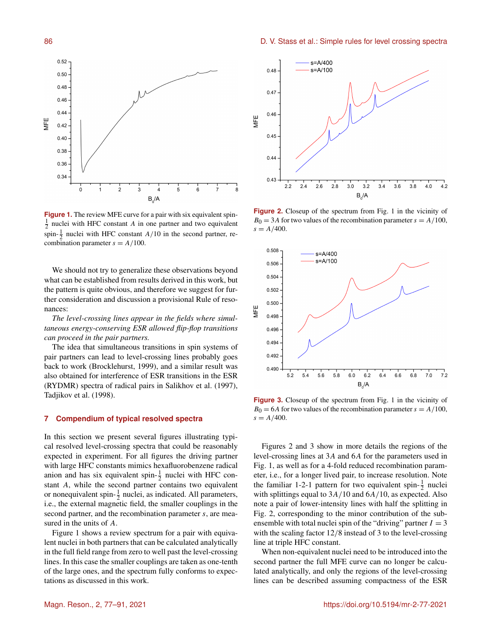

**Figure 1.** The review MFE curve for a pair with six equivalent spin- $\frac{1}{2}$  nuclei with HFC constant A in one partner and two equivalent spin- $\frac{1}{2}$  nuclei with HFC constant  $A/10$  in the second partner, recombination parameter  $s = A/100$ .

We should not try to generalize these observations beyond what can be established from results derived in this work, but the pattern is quite obvious, and therefore we suggest for further consideration and discussion a provisional Rule of resonances:

*The level-crossing lines appear in the fields where simultaneous energy-conserving ESR allowed flip-flop transitions can proceed in the pair partners.*

The idea that simultaneous transitions in spin systems of pair partners can lead to level-crossing lines probably goes back to work (Brocklehurst, 1999), and a similar result was also obtained for interference of ESR transitions in the ESR (RYDMR) spectra of radical pairs in Salikhov et al. (1997), Tadjikov et al. (1998).

# **7 Compendium of typical resolved spectra**

In this section we present several figures illustrating typical resolved level-crossing spectra that could be reasonably expected in experiment. For all figures the driving partner with large HFC constants mimics hexafluorobenzene radical anion and has six equivalent spin- $\frac{1}{2}$  nuclei with HFC constant A, while the second partner contains two equivalent or nonequivalent spin- $\frac{1}{2}$  nuclei, as indicated. All parameters, i.e., the external magnetic field, the smaller couplings in the second partner, and the recombination parameter s, are measured in the units of A.

Figure 1 shows a review spectrum for a pair with equivalent nuclei in both partners that can be calculated analytically in the full field range from zero to well past the level-crossing lines. In this case the smaller couplings are taken as one-tenth of the large ones, and the spectrum fully conforms to expectations as discussed in this work.



**Figure 2.** Closeup of the spectrum from Fig. 1 in the vicinity of  $B_0 = 3A$  for two values of the recombination parameter  $s = A/100$ ,  $s = A/400$ .



**Figure 3.** Closeup of the spectrum from Fig. 1 in the vicinity of  $B_0 = 6A$  for two values of the recombination parameter  $s = A/100$ ,  $s = A/400$ .

Figures 2 and 3 show in more details the regions of the level-crossing lines at 3A and 6A for the parameters used in Fig. 1, as well as for a 4-fold reduced recombination parameter, i.e., for a longer lived pair, to increase resolution. Note the familiar 1-2-1 pattern for two equivalent spin- $\frac{1}{2}$  nuclei with splittings equal to  $3A/10$  and  $6A/10$ , as expected. Also note a pair of lower-intensity lines with half the splitting in Fig. 2, corresponding to the minor contribution of the subensemble with total nuclei spin of the "driving" partner  $I = 3$ with the scaling factor 12/8 instead of 3 to the level-crossing line at triple HFC constant.

When non-equivalent nuclei need to be introduced into the second partner the full MFE curve can no longer be calculated analytically, and only the regions of the level-crossing lines can be described assuming compactness of the ESR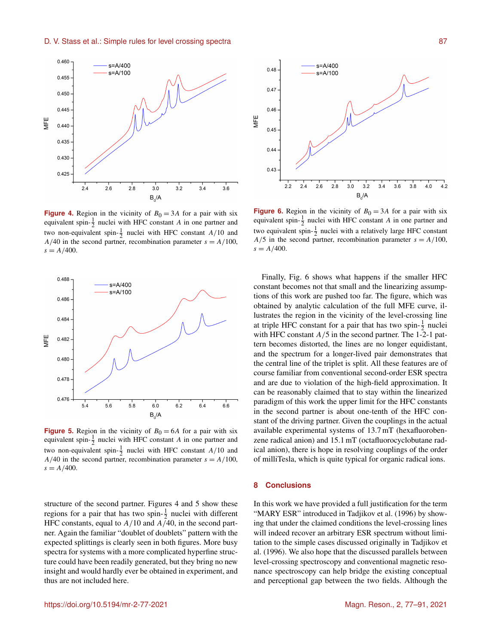

**Figure 4.** Region in the vicinity of  $B_0 = 3A$  for a pair with six equivalent spin- $\frac{1}{2}$  nuclei with HFC constant A in one partner and two non-equivalent spin- $\frac{1}{2}$  nuclei with HFC constant A/10 and  $A/40$  in the second partner, recombination parameter  $s = A/100$ ,  $s = A/400$ .



**Figure 5.** Region in the vicinity of  $B_0 = 6A$  for a pair with six equivalent spin- $\frac{1}{2}$  nuclei with HFC constant A in one partner and two non-equivalent spin- $\frac{1}{2}$  nuclei with HFC constant A/10 and  $A/40$  in the second partner, recombination parameter  $s = A/100$ ,  $s = A/400$ .

structure of the second partner. Figures 4 and 5 show these regions for a pair that has two spin- $\frac{1}{2}$  nuclei with different HFC constants, equal to  $A/10$  and  $A/40$ , in the second partner. Again the familiar "doublet of doublets" pattern with the expected splittings is clearly seen in both figures. More busy spectra for systems with a more complicated hyperfine structure could have been readily generated, but they bring no new insight and would hardly ever be obtained in experiment, and thus are not included here.



**Figure 6.** Region in the vicinity of  $B_0 = 3A$  for a pair with six equivalent spin- $\frac{1}{2}$  nuclei with HFC constant A in one partner and two equivalent spin- $\frac{1}{2}$  nuclei with a relatively large HFC constant  $A/5$  in the second partner, recombination parameter  $s = A/100$ ,  $s = A/400$ .

Finally, Fig. 6 shows what happens if the smaller HFC constant becomes not that small and the linearizing assumptions of this work are pushed too far. The figure, which was obtained by analytic calculation of the full MFE curve, illustrates the region in the vicinity of the level-crossing line at triple HFC constant for a pair that has two spin- $\frac{1}{2}$  nuclei with HFC constant  $A/5$  in the second partner. The 1-2-1 pattern becomes distorted, the lines are no longer equidistant, and the spectrum for a longer-lived pair demonstrates that the central line of the triplet is split. All these features are of course familiar from conventional second-order ESR spectra and are due to violation of the high-field approximation. It can be reasonably claimed that to stay within the linearized paradigm of this work the upper limit for the HFC constants in the second partner is about one-tenth of the HFC constant of the driving partner. Given the couplings in the actual available experimental systems of 13.7 mT (hexafluorobenzene radical anion) and 15.1 mT (octafluorocyclobutane radical anion), there is hope in resolving couplings of the order of milliTesla, which is quite typical for organic radical ions.

#### **8 Conclusions**

In this work we have provided a full justification for the term "MARY ESR" introduced in Tadjikov et al. (1996) by showing that under the claimed conditions the level-crossing lines will indeed recover an arbitrary ESR spectrum without limitation to the simple cases discussed originally in Tadjikov et al. (1996). We also hope that the discussed parallels between level-crossing spectroscopy and conventional magnetic resonance spectroscopy can help bridge the existing conceptual and perceptional gap between the two fields. Although the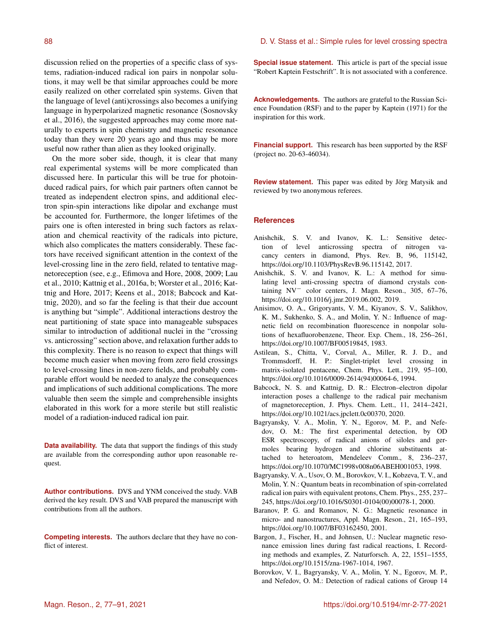discussion relied on the properties of a specific class of systems, radiation-induced radical ion pairs in nonpolar solutions, it may well be that similar approaches could be more easily realized on other correlated spin systems. Given that the language of level (anti)crossings also becomes a unifying language in hyperpolarized magnetic resonance (Sosnovsky et al., 2016), the suggested approaches may come more naturally to experts in spin chemistry and magnetic resonance today than they were 20 years ago and thus may be more useful now rather than alien as they looked originally.

On the more sober side, though, it is clear that many real experimental systems will be more complicated than discussed here. In particular this will be true for photoinduced radical pairs, for which pair partners often cannot be treated as independent electron spins, and additional electron spin-spin interactions like dipolar and exchange must be accounted for. Furthermore, the longer lifetimes of the pairs one is often interested in bring such factors as relaxation and chemical reactivity of the radicals into picture, which also complicates the matters considerably. These factors have received significant attention in the context of the level-crossing line in the zero field, related to tentative magnetoreception (see, e.g., Efimova and Hore, 2008, 2009; Lau et al., 2010; Kattnig et al., 2016a, b; Worster et al., 2016; Kattnig and Hore, 2017; Keens et al., 2018; Babcock and Kattnig, 2020), and so far the feeling is that their due account is anything but "simple". Additional interactions destroy the neat partitioning of state space into manageable subspaces similar to introduction of additional nuclei in the "crossing vs. anticrossing" section above, and relaxation further adds to this complexity. There is no reason to expect that things will become much easier when moving from zero field crossings to level-crossing lines in non-zero fields, and probably comparable effort would be needed to analyze the consequences and implications of such additional complications. The more valuable then seem the simple and comprehensible insights elaborated in this work for a more sterile but still realistic model of a radiation-induced radical ion pair.

**Data availability.** The data that support the findings of this study are available from the corresponding author upon reasonable request.

**Author contributions.** DVS and YNM conceived the study. VAB derived the key result. DVS and VAB prepared the manuscript with contributions from all the authors.

**Competing interests.** The authors declare that they have no conflict of interest.

# 88 D. V. Stass et al.: Simple rules for level crossing spectra

**Special issue statement.** This article is part of the special issue "Robert Kaptein Festschrift". It is not associated with a conference.

**Acknowledgements.** The authors are grateful to the Russian Science Foundation (RSF) and to the paper by Kaptein (1971) for the inspiration for this work.

**Financial support.** This research has been supported by the RSF (project no. 20-63-46034).

**Review statement.** This paper was edited by Jörg Matysik and reviewed by two anonymous referees.

# **References**

- Anishchik, S. V. and Ivanov, K. L.: Sensitive detection of level anticrossing spectra of nitrogen vacancy centers in diamond, Phys. Rev. B, 96, 115142, https://doi.org[/10.1103/PhysRevB.96.115142,](https://doi.org/10.1103/PhysRevB.96.115142) 2017.
- Anishchik, S. V. and Ivanov, K. L.: A method for simulating level anti-crossing spectra of diamond crystals containing NV<sup>−</sup> color centers, J. Magn. Reson., 305, 67–76, https://doi.org[/10.1016/j.jmr.2019.06.002,](https://doi.org/10.1016/j.jmr.2019.06.002) 2019.
- Anisimov, O. A., Grigoryants, V. M., Kiyanov, S. V., Salikhov, K. M., Sukhenko, S. A., and Molin, Y. N.: Influence of magnetic field on recombination fluorescence in nonpolar solutions of hexafluorobenzene, Theor. Exp. Chem., 18, 256–261, https://doi.org[/10.1007/BF00519845,](https://doi.org/10.1007/BF00519845) 1983.
- Astilean, S., Chitta, V., Corval, A., Miller, R. J. D., and Trommsdorff, H. P.: Singlet-triplet level crossing in matrix-isolated pentacene, Chem. Phys. Lett., 219, 95–100, https://doi.org[/10.1016/0009-2614\(94\)00064-6,](https://doi.org/10.1016/0009-2614(94)00064-6) 1994.
- Babcock, N. S. and Kattnig, D. R.: Electron–electron dipolar interaction poses a challenge to the radical pair mechanism of magnetoreception, J. Phys. Chem. Lett., 11, 2414–2421, https://doi.org[/10.1021/acs.jpclett.0c00370,](https://doi.org/10.1021/acs.jpclett.0c00370) 2020.
- Bagryansky, V. A., Molin, Y. N., Egorov, M. P., and Nefedov, O. M.: The first experimental detection, by OD ESR spectroscopy, of radical anions of siloles and germoles bearing hydrogen and chlorine substituents attached to heteroatom, Mendeleev Comm., 8, 236–237, https://doi.org[/10.1070/MC1998v008n06ABEH001053,](https://doi.org/10.1070/MC1998v008n06ABEH001053) 1998.
- Bagryansky, V. A., Usov, O. M., Borovkov, V. I., Kobzeva, T. V., and Molin, Y. N.: Quantum beats in recombination of spin-correlated radical ion pairs with equivalent protons, Chem. Phys., 255, 237– 245, https://doi.org[/10.1016/S0301-0104\(00\)00078-1,](https://doi.org/10.1016/S0301-0104(00)00078-1) 2000.
- Baranov, P. G. and Romanov, N. G.: Magnetic resonance in micro- and nanostructures, Appl. Magn. Reson., 21, 165–193, https://doi.org[/10.1007/BF03162450,](https://doi.org/10.1007/BF03162450) 2001.
- Bargon, J., Fischer, H., and Johnsen, U.: Nuclear magnetic resonance emission lines during fast radical reactions, I. Recording methods and examples, Z. Naturforsch. A, 22, 1551–1555, https://doi.org[/10.1515/zna-1967-1014,](https://doi.org/10.1515/zna-1967-1014) 1967.
- Borovkov, V. I., Bagryansky, V. A., Molin, Y. N., Egorov, M. P., and Nefedov, O. M.: Detection of radical cations of Group 14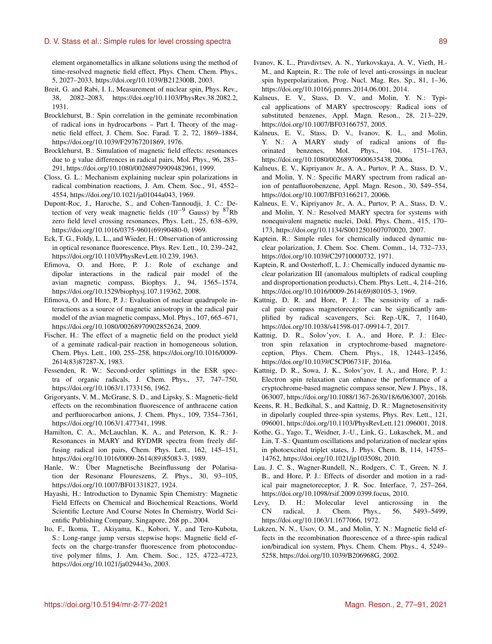element organometallics in alkane solutions using the method of time-resolved magnetic field effect, Phys. Chem. Chem. Phys., 5, 2027–2033, https://doi.org[/10.1039/B212300B,](https://doi.org/10.1039/B212300B) 2003.

- Breit, G. and Rabi, I. I., Measurement of nuclear spin, Phys. Rev., 38, 2082–2083, https://doi.org[/10.1103/PhysRev.38.2082.2,](https://doi.org/10.1103/PhysRev.38.2082.2) 1931.
- Brocklehurst, B.: Spin correlation in the geminate recombination of radical ions in hydrocarbons – Part I. Theory of the magnetic field effect, J. Chem. Soc. Farad. T. 2, 72, 1869–1884, https://doi.org[/10.1039/F29767201869,](https://doi.org/10.1039/F29767201869) 1976.
- Brocklehurst, B.: Simulation of magnetic field effects: resonances due to g value differences in radical pairs, Mol. Phys., 96, 283– 291, https://doi.org[/10.1080/00268979909482961,](https://doi.org/10.1080/00268979909482961) 1999.
- Closs, G. L.: Mechanism explaining nuclear spin polarizations in radical combination reactions, J. Am. Chem. Soc., 91, 4552– 4554, https://doi.org[/10.1021/ja01044a043,](https://doi.org/10.1021/ja01044a043) 1969.
- Dupont-Roc, J., Haroche, S., and Cohen-Tannoudji, J. C.: Detection of very weak magnetic fields (10−<sup>9</sup> Gauss) by <sup>87</sup>Rb zero field level crossing resonances, Phys. Lett., 25, 638–639, https://doi.org[/10.1016/0375-9601\(69\)90480-0,](https://doi.org/10.1016/0375-9601(69)90480-0) 1969.
- Eck, T. G., Foldy, L. L., and Wieder, H.: Observation of anticrossing in optical resonance fluorescence, Phys. Rev. Lett., 10, 239–242, https://doi.org[/10.1103/PhysRevLett.10.239,](https://doi.org/10.1103/PhysRevLett.10.239) 1963.
- Efimova, O. and Hore, P. J.: Role of exchange and dipolar interactions in the radical pair model of the avian magnetic compass, Biophys. J., 94, 1565–1574, https://doi.org[/10.1529/biophysj.107.119362,](https://doi.org/10.1529/biophysj.107.119362) 2008.
- Efimova, O. and Hore, P. J.: Evaluation of nuclear quadrupole interactions as a source of magnetic anisotropy in the radical pair model of the avian magnetic compass, Mol. Phys., 107, 665–671, https://doi.org[/10.1080/00268970902852624,](https://doi.org/10.1080/00268970902852624) 2009.
- Fischer, H.: The effect of a magnetic field on the product yield of a geminate radical-pair reaction in homogeneous solution, Chem. Phys. Lett., 100, 255–258, https://doi.org[/10.1016/0009-](https://doi.org/10.1016/0009-2614(83)87287-X) [2614\(83\)87287-X,](https://doi.org/10.1016/0009-2614(83)87287-X) 1983.
- Fessenden, R. W.: Second-order splittings in the ESR spectra of organic radicals, J. Chem. Phys., 37, 747–750, https://doi.org[/10.1063/1.1733156,](https://doi.org/10.1063/1.1733156) 1962.
- Grigoryants, V. M., McGrane, S. D., and Lipsky, S.: Magnetic-field effects on the recombination fluorescence of anthracene cation and perfluorocarbon anions, J. Chem. Phys., 109, 7354–7361, https://doi.org[/10.1063/1.477341,](https://doi.org/10.1063/1.477341) 1998.
- Hamilton, C. A., McLauchlan, K. A., and Peterson, K. R.: J-Resonances in MARY and RYDMR spectra from freely diffusing radical ion pairs, Chem. Phys. Lett., 162, 145–151, https://doi.org[/10.1016/0009-2614\(89\)85083-3,](https://doi.org/10.1016/0009-2614(89)85083-3) 1989.
- Hanle, W.: Über Magnetische Beeinflussung der Polarisation der Resonanz Floureszens, Z. Phys., 30, 93–105, https://doi.org[/10.1007/BF01331827,](https://doi.org/10.1007/BF01331827) 1924.
- Hayashi, H.: Introduction to Dynamic Spin Chemistry: Magnetic Field Effects on Chemical and Biochemical Reactions, World Scientific Lecture And Course Notes In Chemistry, World Scientific Publishing Company, Singapore, 268 pp., 2004.
- Ito, F., Ikoma, T., Akiyama, K., Kobori, Y., and Tero-Kubota, S.: Long-range jump versus stepwise hops: Magnetic field effects on the charge-transfer fluorescence from photoconductive polymer films, J. Am. Chem. Soc., 125, 4722–4723, https://doi.org[/10.1021/ja029443o,](https://doi.org/10.1021/ja029443o) 2003.
- Ivanov, K. L., Pravdivtsev, A. N., Yurkovskaya, A. V., Vieth, H.- M., and Kaptein, R.: The role of level anti-crossings in nuclear spin hyperpolarization, Prog. Nucl. Mag. Res. Sp., 81, 1–36, https://doi.org[/10.1016/j.pnmrs.2014.06.001,](https://doi.org/10.1016/j.pnmrs.2014.06.001) 2014.
- Kalneus, E. V., Stass, D. V., and Molin, Y. N.: Typical applications of MARY spectroscopy: Radical ions of substituted benzenes, Appl. Magn. Reson., 28, 213–229, https://doi.org[/10.1007/BF03166757,](https://doi.org/10.1007/BF03166757) 2005.
- Kalneus, E. V., Stass, D. V., Ivanov, K. L., and Molin, Y. N.: A MARY study of radical anions of fluorinated benzenes, Mol. Phys., 104, 1751–1763, https://doi.org[/10.1080/00268970600635438,](https://doi.org/10.1080/00268970600635438) 2006a.
- Kalneus, E. V., Kipriyanov Jr., A. A., Purtov, P. A., Stass, D. V., and Molin, Y. N.: Specific MARY spectrum from radical anion of pentafluorobenzene, Appl. Magn. Reson., 30, 549–554, https://doi.org[/10.1007/BF03166217,](https://doi.org/10.1007/BF03166217) 2006b.
- Kalneus, E. V., Kipriyanov Jr., A. A., Purtov, P. A., Stass, D. V., and Molin, Y. N.: Resolved MARY spectra for systems with nonequivalent magnetic nuclei, Dokl. Phys. Chem., 415, 170– 173, https://doi.org[/10.1134/S0012501607070020,](https://doi.org/10.1134/S0012501607070020) 2007.
- Kaptein, R.: Simple rules for chemically induced dynamic nuclear polarization, J. Chem. Soc. Chem. Comm., 14, 732–733, https://doi.org[/10.1039/C29710000732,](https://doi.org/10.1039/C29710000732) 1971.
- Kaptein, R. and Oosterhoff, L. J.: Chemically induced dynamic nuclear polarization III (anomalous multiplets of radical coupling and disproportionation products), Chem. Phys. Lett., 4, 214–216, https://doi.org[/10.1016/0009-2614\(69\)80105-3,](https://doi.org/10.1016/0009-2614(69)80105-3) 1969.
- Kattnig, D. R. and Hore, P. J.: The sensitivity of a radical pair compass magnetoreceptor can be significantly amplified by radical scavengers, Sci. Rep.-UK, 7, 11640, https://doi.org[/10.1038/s41598-017-09914-7,](https://doi.org/10.1038/s41598-017-09914-7) 2017.
- Kattnig, D. R., Solov'yov, I. A., and Hore, P. J.: Electron spin relaxation in cryptochrome-based magnetoreception, Phys. Chem. Chem. Phys., 18, 12443–12456, https://doi.org[/10.1039/C5CP06731F,](https://doi.org/10.1039/C5CP06731F) 2016a.
- Kattnig, D. R., Sowa, J. K., Solov'yov, I. A., and Hore, P. J.: Electron spin relaxation can enhance the performance of a cryptochrome-based magnetic compass sensor, New J. Phys., 18, 063007, https://doi.org[/10.1088/1367-2630/18/6/063007,](https://doi.org/10.1088/1367-2630/18/6/063007) 2016b.
- Keens, R. H., Bedkihal, S., and Kattnig, D. R.: Magnetosensitivity in dipolarly coupled three-spin systems, Phys. Rev. Lett., 121, 096001, https://doi.org[/10.1103/PhysRevLett.121.096001,](https://doi.org/10.1103/PhysRevLett.121.096001) 2018.
- Kothe, G., Yago, T., Weidner, J.-U., Link, G., Lukaschek, M., and Lin, T.-S.: Quantum oscillations and polarization of nuclear spins in photoexcited triplet states, J. Phys. Chem. B, 114, 14755– 14762, https://doi.org[/10.1021/jp103508t,](https://doi.org/10.1021/jp103508t) 2010.
- Lau, J. C. S., Wagner-Rundell, N., Rodgers, C. T., Green, N. J. B., and Hore, P. J.: Effects of disorder and motion in a radical pair magnetoreceptor, J. R. Soc. Interface, 7, 257–264, https://doi.org[/10.1098/rsif.2009.0399.focus,](https://doi.org/10.1098/rsif.2009.0399.focus) 2010.
- Levy, D. H.: Molecular level anticrossing in the CN radical, J. Chem. Phys., 56, 5493–5499, https://doi.org[/10.1063/1.1677066,](https://doi.org/10.1063/1.1677066) 1972.
- Lukzen, N. N., Usov, O. M., and Molin, Y. N.: Magnetic field effects in the recombination fluorescence of a three-spin radical ion/biradical ion system, Phys. Chem. Chem. Phys., 4, 5249– 5258, https://doi.org[/10.1039/B206968G,](https://doi.org/10.1039/B206968G) 2002.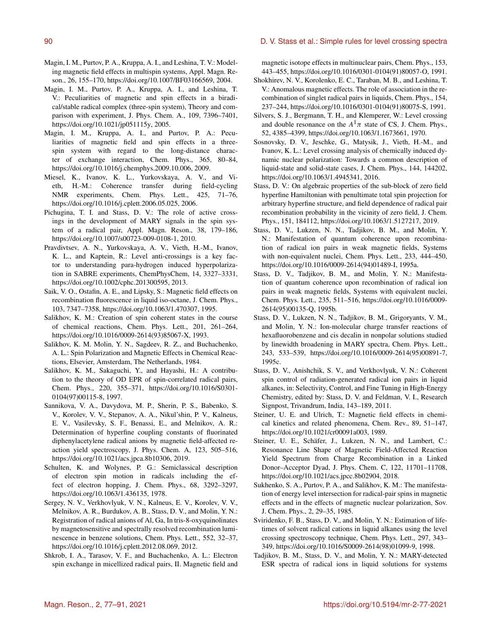- Magin, I. M., Purtov, P. A., Kruppa, A. I., and Leshina, T. V.: Modeling magnetic field effects in multispin systems, Appl. Magn. Reson., 26, 155–170, https://doi.org[/10.1007/BF03166569,](https://doi.org/10.1007/BF03166569) 2004.
- Magin, I. M., Purtov, P. A., Kruppa, A. I., and Leshina, T. V.: Peculiarities of magnetic and spin effects in a biradical/stable radical complex (three-spin system), Theory and comparison with experiment, J. Phys. Chem. A., 109, 7396–7401, https://doi.org[/10.1021/jp051115y,](https://doi.org/10.1021/jp051115y) 2005.
- Magin, I. M., Kruppa, A. I., and Purtov, P. A.: Peculiarities of magnetic field and spin effects in a threespin system with regard to the long-distance character of exchange interaction, Chem. Phys., 365, 80–84, https://doi.org[/10.1016/j.chemphys.2009.10.006,](https://doi.org/10.1016/j.chemphys.2009.10.006) 2009.
- Miesel, K., Ivanov, K. L., Yurkovskaya, A. V., and Vieth, H.-M.: Coherence transfer during field-cycling NMR experiments, Chem. Phys. Lett., 425, 71-76, https://doi.org[/10.1016/j.cplett.2006.05.025,](https://doi.org/10.1016/j.cplett.2006.05.025) 2006.
- Pichugina, T. I. and Stass, D. V.: The role of active crossings in the development of MARY signals in the spin system of a radical pair, Appl. Magn. Reson., 38, 179–186, https://doi.org[/10.1007/s00723-009-0108-1,](https://doi.org/10.1007/s00723-009-0108-1) 2010.
- Pravdivtsev, A. N., Yurkovskaya, A. V., Vieth, H.-M., Ivanov, K. L., and Kaptein, R.: Level anti-crossings is a key factor to understanding para-hydrogen induced hyperpolarization in SABRE experiments, ChemPhysChem, 14, 3327–3331, https://doi.org[/10.1002/cphc.201300595,](https://doi.org/10.1002/cphc.201300595) 2013.
- Saik, V. O., Ostafin, A. E., and Lipsky, S.: Magnetic field effects on recombination fluorescence in liquid iso-octane, J. Chem. Phys., 103, 7347–7358, https://doi.org[/10.1063/1.470307,](https://doi.org/10.1063/1.470307) 1995.
- Salikhov, K. M.: Creation of spin coherent states in the course of chemical reactions, Chem. Phys. Lett., 201, 261–264, https://doi.org[/10.1016/0009-2614\(93\)85067-X,](https://doi.org/10.1016/0009-2614(93)85067-X) 1993.
- Salikhov, K. M. Molin, Y. N., Sagdeev, R. Z., and Buchachenko, A. L.: Spin Polarization and Magnetic Effects in Chemical Reactions, Elsevier, Amsterdam, The Netherlands, 1984.
- Salikhov, K. M., Sakaguchi, Y., and Hayashi, H.: A contribution to the theory of OD EPR of spin-correlated radical pairs, Chem. Phys., 220, 355–371, https://doi.org[/10.1016/S0301-](https://doi.org/10.1016/S0301-0104(97)00115-8) [0104\(97\)00115-8,](https://doi.org/10.1016/S0301-0104(97)00115-8) 1997.
- Sannikova, V. A., Davydova, M. P., Sherin, P. S., Babenko, S. V., Korolev, V. V., Stepanov, A. A., Nikul'shin, P. V., Kalneus, E. V., Vasilevsky, S. F., Benassi, E., and Melnikov, A. R.: Determination of hyperfine coupling constants of fluorinated diphenylacetylene radical anions by magnetic field-affected reaction yield spectroscopy, J. Phys. Chem. A, 123, 505–516, https://doi.org[/10.1021/acs.jpca.8b10306,](https://doi.org/10.1021/acs.jpca.8b10306) 2019.
- Schulten, K. and Wolynes, P. G.: Semiclassical description of electron spin motion in radicals including the effect of electron hopping, J. Chem. Phys., 68, 3292–3297, https://doi.org[/10.1063/1.436135,](https://doi.org/10.1063/1.436135) 1978.
- Sergey, N. V., Verkhovlyuk, V. N., Kalneus, E. V., Korolev, V. V., Melnikov, A. R., Burdukov, A. B., Stass, D. V., and Molin, Y. N.: Registration of radical anions of Al, Ga, In tris-8-oxyquinolinates by magnetosensitive and spectrally resolved recombination luminescence in benzene solutions, Chem. Phys. Lett., 552, 32–37, https://doi.org[/10.1016/j.cplett.2012.08.069,](https://doi.org/10.1016/j.cplett.2012.08.069) 2012.
- Shkrob, I. A., Tarasov, V. F., and Buchachenko, A. L.: Electron spin exchange in micellized radical pairs, II. Magnetic field and

magnetic isotope effects in multinuclear pairs, Chem. Phys., 153, 443–455, https://doi.org[/10.1016/0301-0104\(91\)80057-O,](https://doi.org/10.1016/0301-0104(91)80057-O) 1991.

- Shokhirev, N. V., Korolenko, E. C., Taraban, M. B., and Leshina, T. V.: Anomalous magnetic effects. The role of association in the recombination of singlet radical pairs in liquids, Chem. Phys., 154, 237–244, https://doi.org[/10.1016/0301-0104\(91\)80075-S,](https://doi.org/10.1016/0301-0104(91)80075-S) 1991.
- Silvers, S. J., Bergmann, T. H., and Klemperer, W.: Level crossing and double resonance on the  $A^T \pi$  state of CS, J. Chem. Phys., 52, 4385–4399, https://doi.org[/10.1063/1.1673661,](https://doi.org/10.1063/1.1673661) 1970.
- Sosnovsky, D. V., Jeschke, G., Matysik, J., Vieth, H.-M., and Ivanov, K. L.: Level crossing analysis of chemically induced dynamic nuclear polarization: Towards a common description of liquid-state and solid-state cases, J. Chem. Phys., 144, 144202, https://doi.org[/10.1063/1.4945341,](https://doi.org/10.1063/1.4945341) 2016.
- Stass, D. V.: On algebraic properties of the sub-block of zero field hyperfine Hamiltonian with penultimate total spin projection for arbitrary hyperfine structure, and field dependence of radical pair recombination probability in the vicinity of zero field, J. Chem. Phys., 151, 184112, https://doi.org[/10.1063/1.5127217,](https://doi.org/10.1063/1.5127217) 2019.
- Stass, D. V., Lukzen, N. N., Tadjikov, B. M., and Molin, Y. N.: Manifestation of quantum coherence upon recombination of radical ion pairs in weak magnetic fields, Systems with non-equivalent nuclei, Chem. Phys. Lett., 233, 444–450, https://doi.org[/10.1016/0009-2614\(94\)01489-I,](https://doi.org/10.1016/0009-2614(94)01489-I) 1995a.
- Stass, D. V., Tadjikov, B. M., and Molin, Y. N.: Manifestation of quantum coherence upon recombination of radical ion pairs in weak magnetic fields, Systems with equivalent nuclei, Chem. Phys. Lett., 235, 511–516, https://doi.org[/10.1016/0009-](https://doi.org/10.1016/0009-2614(95)00135-Q) [2614\(95\)00135-Q,](https://doi.org/10.1016/0009-2614(95)00135-Q) 1995b.
- Stass, D. V., Lukzen, N. N., Tadjikov, B. M., Grigoryants, V. M., and Molin, Y. N.: Ion-molecular charge transfer reactions of hexafluorobenzene and cis decalin in nonpolar solutions studied by linewidth broadening in MARY spectra, Chem. Phys. Lett., 243, 533–539, https://doi.org[/10.1016/0009-2614\(95\)00891-7,](https://doi.org/10.1016/0009-2614(95)00891-7) 1995c.
- Stass, D. V., Anishchik, S. V., and Verkhovlyuk, V. N.: Coherent spin control of radiation-generated radical ion pairs in liquid alkanes, in: Selectivity, Control, and Fine Tuning in High-Energy Chemistry, edited by: Stass, D. V. and Feldman, V. I., Research Signpost, Trivandrum, India, 143–189, 2011.
- Steiner, U. E. and Ulrich, T.: Magnetic field effects in chemical kinetics and related phenomena, Chem. Rev., 89, 51–147, https://doi.org[/10.1021/cr00091a003,](https://doi.org/10.1021/cr00091a003) 1989.
- Steiner, U. E., Schäfer, J., Lukzen, N. N., and Lambert, C.: Resonance Line Shape of Magnetic Field-Affected Reaction Yield Spectrum from Charge Recombination in a Linked Donor–Acceptor Dyad, J. Phys. Chem. C, 122, 11701–11708, https://doi.org[/10.1021/acs.jpcc.8b02904,](https://doi.org/10.1021/acs.jpcc.8b02904) 2018.
- Sukhenko, S. A., Purtov, P. A., and Salikhov, K. M.: The manifestation of energy level intersection for radical-pair spins in magnetic effects and in the effects of magnetic nuclear polarization, Sov. J. Chem. Phys., 2, 29–35, 1985.
- Sviridenko, F. B., Stass, D. V., and Molin, Y. N.: Estimation of lifetimes of solvent radical cations in liquid alkanes using the level crossing spectroscopy technique, Chem. Phys. Lett., 297, 343– 349, https://doi.org[/10.1016/S0009-2614\(98\)01099-9,](https://doi.org/10.1016/S0009-2614(98)01099-9) 1998.
- Tadjikov, B. M., Stass, D. V., and Molin, Y. N.: MARY-detected ESR spectra of radical ions in liquid solutions for systems